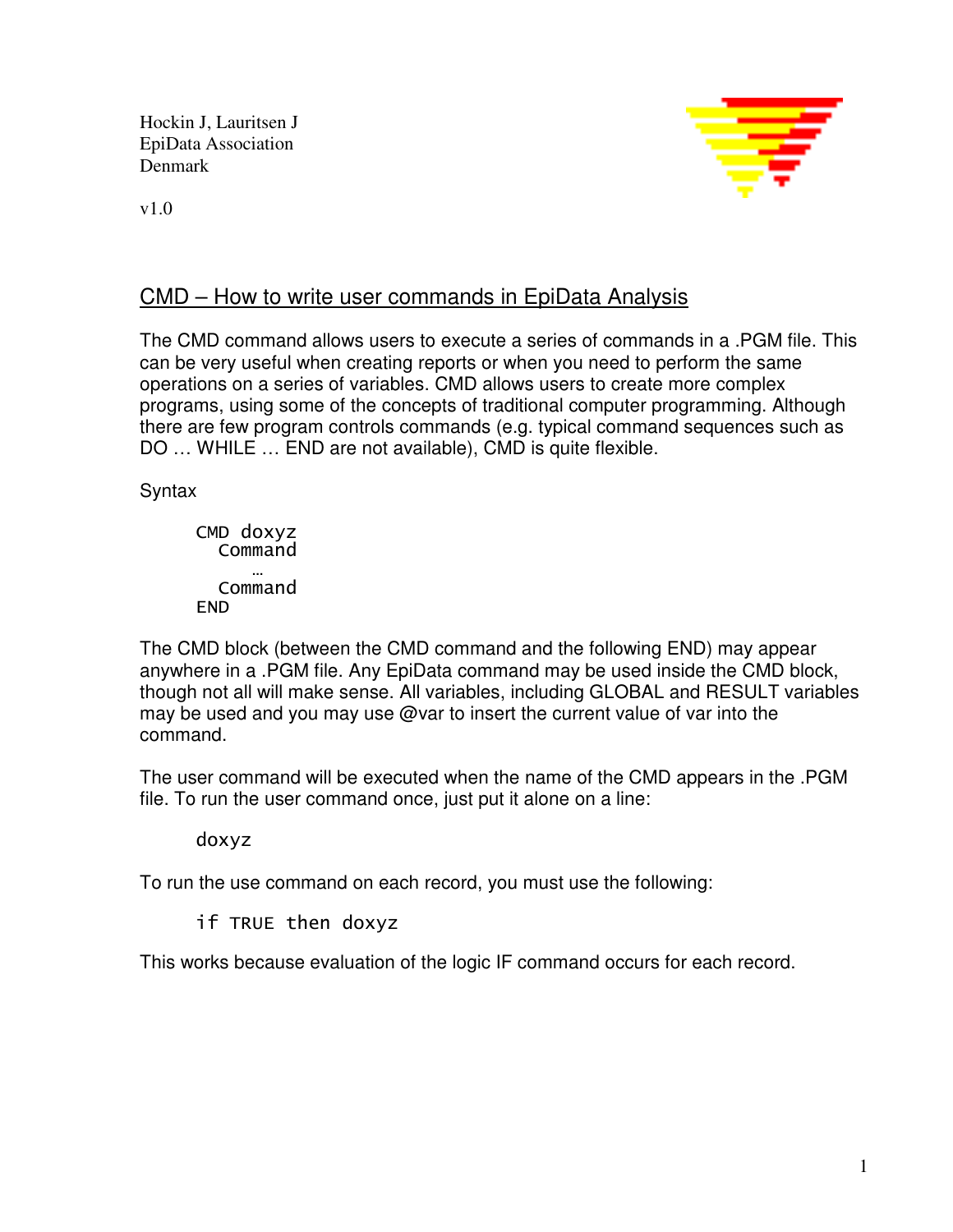Hockin J, Lauritsen J EpiData Association Denmark



v1.0

## CMD – How to write user commands in EpiData Analysis

The CMD command allows users to execute a series of commands in a .PGM file. This can be very useful when creating reports or when you need to perform the same operations on a series of variables. CMD allows users to create more complex programs, using some of the concepts of traditional computer programming. Although there are few program controls commands (e.g. typical command sequences such as DO … WHILE … END are not available), CMD is quite flexible.

Syntax

CMD doxyz Command … Command END

The CMD block (between the CMD command and the following END) may appear anywhere in a .PGM file. Any EpiData command may be used inside the CMD block, though not all will make sense. All variables, including GLOBAL and RESULT variables may be used and you may use @var to insert the current value of var into the command.

The user command will be executed when the name of the CMD appears in the .PGM file. To run the user command once, just put it alone on a line:

#### doxyz

To run the use command on each record, you must use the following:

if TRUE then doxyz

This works because evaluation of the logic IF command occurs for each record.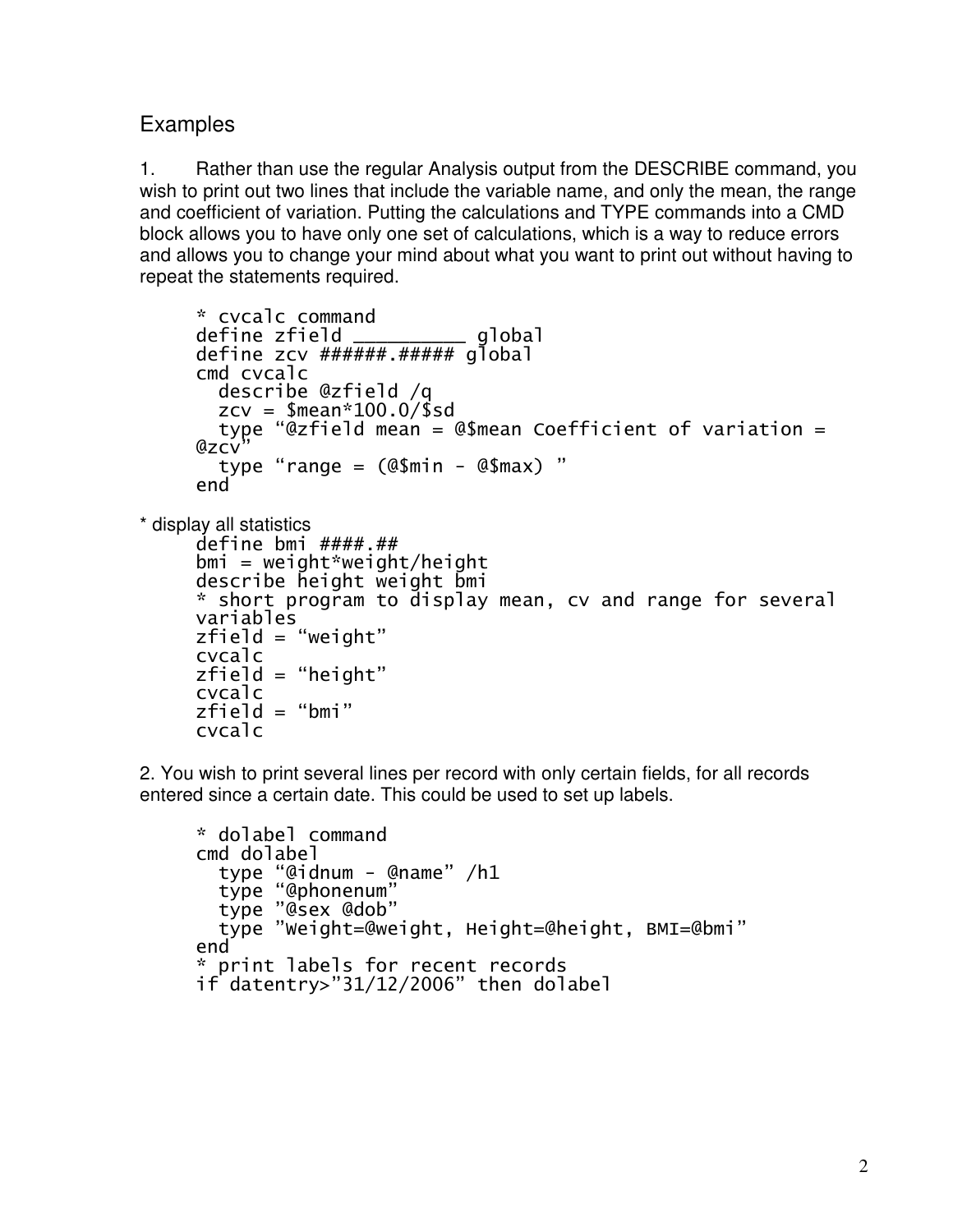# **Examples**

cvcalc

1. Rather than use the regular Analysis output from the DESCRIBE command, you wish to print out two lines that include the variable name, and only the mean, the range and coefficient of variation. Putting the calculations and TYPE commands into a CMD block allows you to have only one set of calculations, which is a way to reduce errors and allows you to change your mind about what you want to print out without having to repeat the statements required.

```
* cvcalc command 
     define zfield __________ global
     define zcv ######.##### global 
     cmd cvcalc 
        describe @zfield /q 
       zcv = $mean*100.0/$sdtype "@zfield mean = @$mean Coefficient of variation =
     @zcytype "range = (@$min - @$max) "
     end 
* display all statistics 
     define bmi ####.## 
     bmi = weight*weight/heightdescribe height weight bmi
```

```
* short program to display mean, cv and range for several 
variables 
zfield = "weight"cvcalc 
zfield = "height"
cvcalc 
zfield = "bmi"
```
2. You wish to print several lines per record with only certain fields, for all records entered since a certain date. This could be used to set up labels.

```
* dolabel command 
cmd dolabel 
   type "@idnum - @name" /h1 
   type "@phonenum" 
   type "@sex @dob" 
   type "Weight=@weight, Height=@height, BMI=@bmi" 
end 
* print labels for recent records 
if datentry>"31/12/2006" then dolabel
```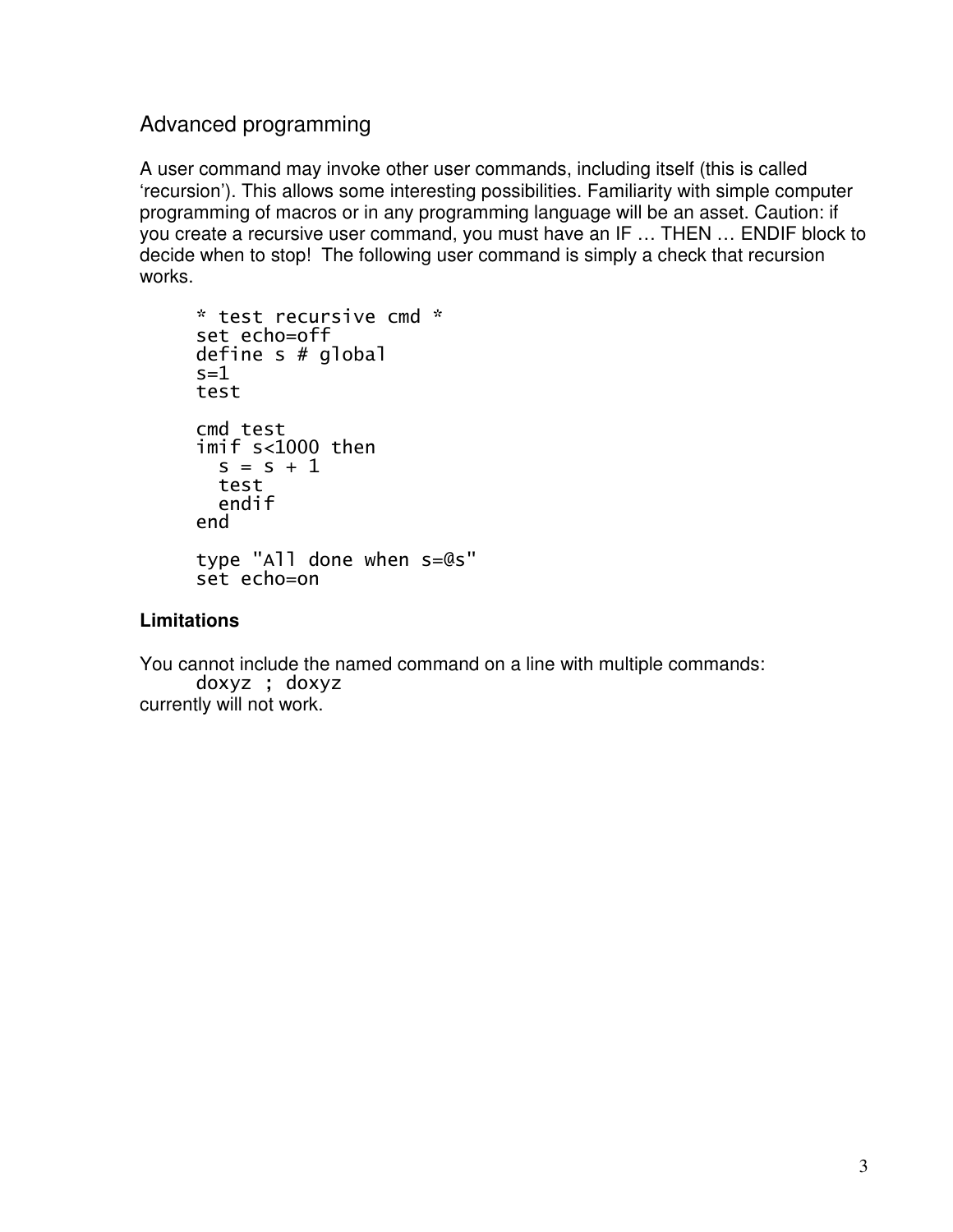### Advanced programming

A user command may invoke other user commands, including itself (this is called 'recursion'). This allows some interesting possibilities. Familiarity with simple computer programming of macros or in any programming language will be an asset. Caution: if you create a recursive user command, you must have an IF … THEN … ENDIF block to decide when to stop! The following user command is simply a check that recursion works.

```
* test recursive cmd * 
set echo=off 
define s # global 
s=1test 
cmd test 
imif s<1000 then 
  s = s + 1 test 
   endif 
end 
type "All done when s=@s" 
set echo=on
```
#### **Limitations**

You cannot include the named command on a line with multiple commands: doxyz ; doxyz currently will not work.